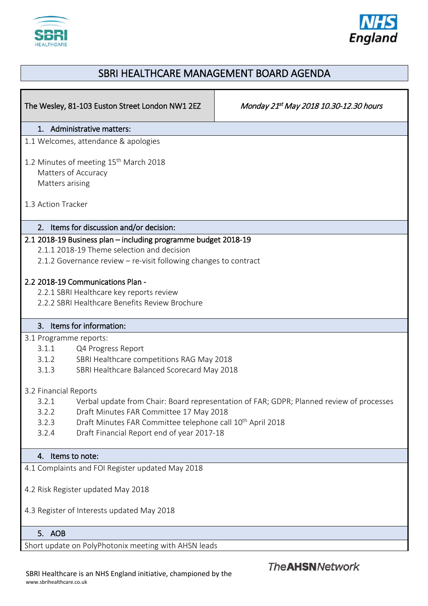



## SBRI HEALTHCARE MANAGEMENT BOARD AGENDA

| The Wesley, 81-103 Euston Street London NW1 2EZ                                                                                                                                                                                                                                                                          | Monday 21st May 2018 10.30-12.30 hours |
|--------------------------------------------------------------------------------------------------------------------------------------------------------------------------------------------------------------------------------------------------------------------------------------------------------------------------|----------------------------------------|
| 1. Administrative matters:                                                                                                                                                                                                                                                                                               |                                        |
| 1.1 Welcomes, attendance & apologies                                                                                                                                                                                                                                                                                     |                                        |
| 1.2 Minutes of meeting 15 <sup>th</sup> March 2018<br>Matters of Accuracy<br>Matters arising                                                                                                                                                                                                                             |                                        |
| 1.3 Action Tracker                                                                                                                                                                                                                                                                                                       |                                        |
| 2. Items for discussion and/or decision:                                                                                                                                                                                                                                                                                 |                                        |
| 2.1 2018-19 Business plan - including programme budget 2018-19<br>2.1.1 2018-19 Theme selection and decision<br>2.1.2 Governance review - re-visit following changes to contract                                                                                                                                         |                                        |
| 2.2 2018-19 Communications Plan -<br>2.2.1 SBRI Healthcare key reports review<br>2.2.2 SBRI Healthcare Benefits Review Brochure                                                                                                                                                                                          |                                        |
| 3. Items for information:                                                                                                                                                                                                                                                                                                |                                        |
| 3.1 Programme reports:<br>3.1.1<br>Q4 Progress Report<br>3.1.2<br>SBRI Healthcare competitions RAG May 2018<br>SBRI Healthcare Balanced Scorecard May 2018<br>3.1.3                                                                                                                                                      |                                        |
| 3.2 Financial Reports<br>Verbal update from Chair: Board representation of FAR; GDPR; Planned review of processes<br>3.2.1<br>Draft Minutes FAR Committee 17 May 2018<br>3.2.2<br>Draft Minutes FAR Committee telephone call 10 <sup>th</sup> April 2018<br>3.2.3<br>Draft Financial Report end of year 2017-18<br>3.2.4 |                                        |
| 4. Items to note:                                                                                                                                                                                                                                                                                                        |                                        |
| 4.1 Complaints and FOI Register updated May 2018                                                                                                                                                                                                                                                                         |                                        |
| 4.2 Risk Register updated May 2018<br>4.3 Register of Interests updated May 2018                                                                                                                                                                                                                                         |                                        |
| 5. AOB                                                                                                                                                                                                                                                                                                                   |                                        |
| Short update on PolyPhotonix meeting with AHSN leads                                                                                                                                                                                                                                                                     |                                        |

SBRI Healthcare is an NHS England initiative, championed by the www.sbrihealthcare.co.uk

**The AHSN Network**